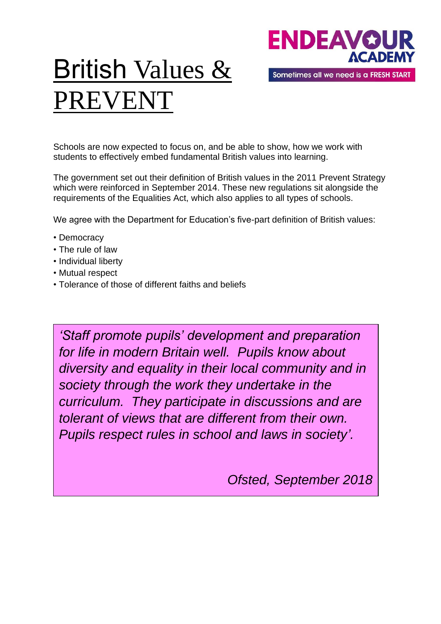

# British Values & PREVENT

Schools are now expected to focus on, and be able to show, how we work with students to effectively embed fundamental British values into learning.

The government set out their definition of British values in the 2011 Prevent Strategy which were reinforced in September 2014. These new regulations sit alongside the requirements of the Equalities Act, which also applies to all types of schools.

We agree with the Department for Education's five-part definition of British values:

- Democracy
- The rule of law
- Individual liberty
- Mutual respect
- Tolerance of those of different faiths and beliefs

*'Staff promote pupils' development and preparation for life in modern Britain well. Pupils know about diversity and equality in their local community and in society through the work they undertake in the curriculum. They participate in discussions and are tolerant of views that are different from their own. Pupils respect rules in school and laws in society'.* 

*Ofsted, September 2018*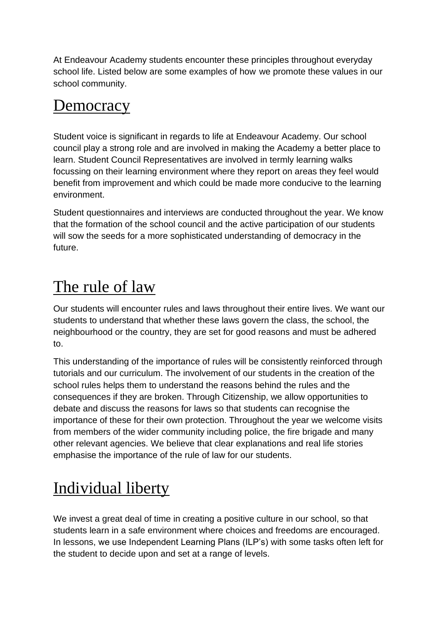At Endeavour Academy students encounter these principles throughout everyday school life. Listed below are some examples of how we promote these values in our school community.

#### **Democracy**

Student voice is significant in regards to life at Endeavour Academy. Our school council play a strong role and are involved in making the Academy a better place to learn. Student Council Representatives are involved in termly learning walks focussing on their learning environment where they report on areas they feel would benefit from improvement and which could be made more conducive to the learning environment.

Student questionnaires and interviews are conducted throughout the year. We know that the formation of the school council and the active participation of our students will sow the seeds for a more sophisticated understanding of democracy in the future.

# The rule of law

Our students will encounter rules and laws throughout their entire lives. We want our students to understand that whether these laws govern the class, the school, the neighbourhood or the country, they are set for good reasons and must be adhered to.

This understanding of the importance of rules will be consistently reinforced through tutorials and our curriculum. The involvement of our students in the creation of the school rules helps them to understand the reasons behind the rules and the consequences if they are broken. Through Citizenship, we allow opportunities to debate and discuss the reasons for laws so that students can recognise the importance of these for their own protection. Throughout the year we welcome visits from members of the wider community including police, the fire brigade and many other relevant agencies. We believe that clear explanations and real life stories emphasise the importance of the rule of law for our students.

# Individual liberty

We invest a great deal of time in creating a positive culture in our school, so that students learn in a safe environment where choices and freedoms are encouraged. In lessons, we use Independent Learning Plans (ILP's) with some tasks often left for the student to decide upon and set at a range of levels.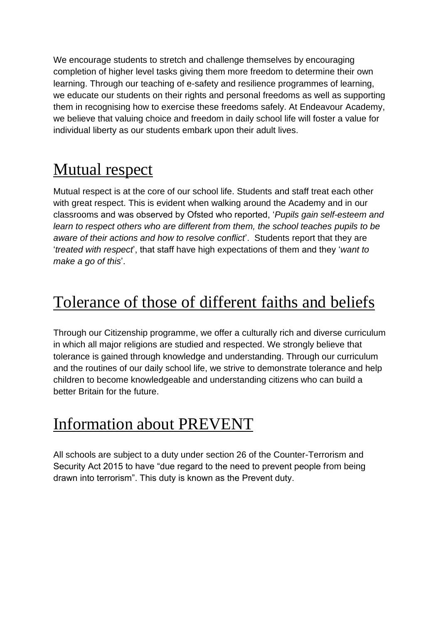We encourage students to stretch and challenge themselves by encouraging completion of higher level tasks giving them more freedom to determine their own learning. Through our teaching of e-safety and resilience programmes of learning, we educate our students on their rights and personal freedoms as well as supporting them in recognising how to exercise these freedoms safely. At Endeavour Academy, we believe that valuing choice and freedom in daily school life will foster a value for individual liberty as our students embark upon their adult lives.

#### Mutual respect

Mutual respect is at the core of our school life. Students and staff treat each other with great respect. This is evident when walking around the Academy and in our classrooms and was observed by Ofsted who reported, '*Pupils gain self-esteem and learn to respect others who are different from them, the school teaches pupils to be aware of their actions and how to resolve conflict*'. Students report that they are '*treated with respect*', that staff have high expectations of them and they '*want to make a go of this*'.

## Tolerance of those of different faiths and beliefs

Through our Citizenship programme, we offer a culturally rich and diverse curriculum in which all major religions are studied and respected. We strongly believe that tolerance is gained through knowledge and understanding. Through our curriculum and the routines of our daily school life, we strive to demonstrate tolerance and help children to become knowledgeable and understanding citizens who can build a better Britain for the future.

#### Information about PREVENT

All schools are subject to a duty under section 26 of the Counter-Terrorism and Security Act 2015 to have "due regard to the need to prevent people from being drawn into terrorism". This duty is known as the Prevent duty.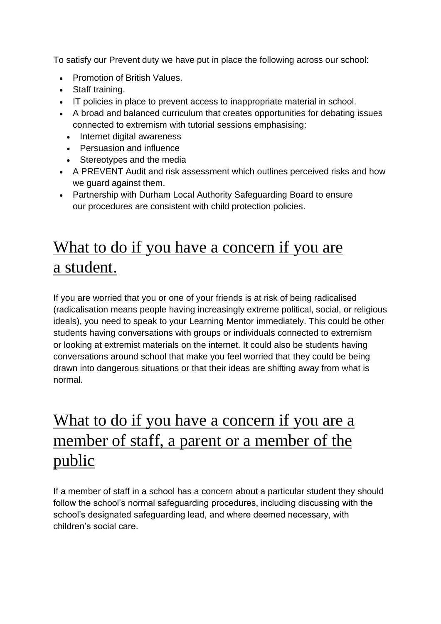To satisfy our Prevent duty we have put in place the following across our school:

- [Promotion](http://www.shottonhallschool.co.uk/#/the-academy/british-values) of British Values.
- Staff training.
- IT policies in place to prevent access to inappropriate material in school.
- A broad and balanced curriculum that creates opportunities for debating issues connected to extremism with tutorial sessions emphasising:
	- Internet digital awareness
	- Persuasion and influence
	- Stereotypes and the media
- A PREVENT Audit and risk assessment which outlines perceived risks and how we guard against them.
- Partnership with Durham Local Authority Safeguarding Board to ensure our procedures are consistent with child protection policies.

## What to do if you have a concern if you are a student.

If you are worried that you or one of your friends is at risk of being radicalised (radicalisation means people having increasingly extreme political, social, or religious ideals), you need to speak to your Learning Mentor immediately. This could be other students having conversations with groups or individuals connected to extremism or looking at extremist materials on the internet. It could also be students having conversations around school that make you feel worried that they could be being drawn into dangerous situations or that their ideas are shifting away from what is normal.

### What to do if you have a concern if you are a member of staff, a parent or a member of the public

If a member of staff in a school has a concern about a particular student they should follow the school's normal safeguarding procedures, including discussing with the school's designated safeguarding lead, and where deemed necessary, with children's social care.